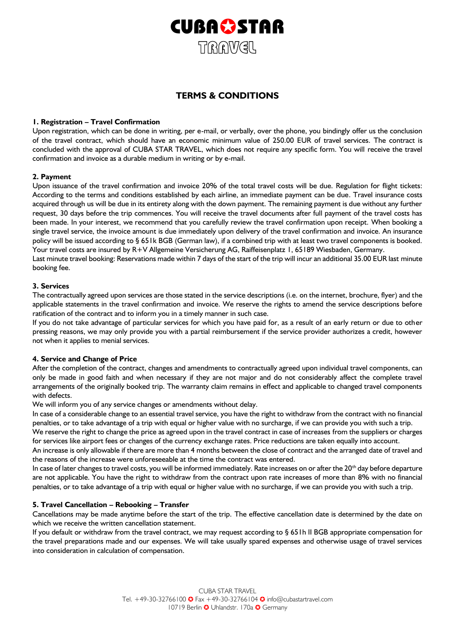

# **TERMS & CONDITIONS**

# **1. Registration – Travel Confirmation**

Upon registration, which can be done in writing, per e-mail, or verbally, over the phone, you bindingly offer us the conclusion of the travel contract, which should have an economic minimum value of 250.00 EUR of travel services. The contract is concluded with the approval of CUBA STAR TRAVEL, which does not require any specific form. You will receive the travel confirmation and invoice as a durable medium in writing or by e-mail.

# **2. Payment**

Upon issuance of the travel confirmation and invoice 20% of the total travel costs will be due. Regulation for flight tickets: According to the terms and conditions established by each airline, an immediate payment can be due. Travel insurance costs acquired through us will be due in its entirety along with the down payment. The remaining payment is due without any further request, 30 days before the trip commences. You will receive the travel documents after full payment of the travel costs has been made. In your interest, we recommend that you carefully review the travel confirmation upon receipt. When booking a single travel service, the invoice amount is due immediately upon delivery of the travel confirmation and invoice. An insurance policy will be issued according to § 651k BGB (German law), if a combined trip with at least two travel components is booked. Your travel costs are insured by R+V Allgemeine Versicherung AG, Raiffeisenplatz 1, 65189 Wiesbaden, Germany.

Last minute travel booking: Reservations made within 7 days of the start of the trip will incur an additional 35.00 EUR last minute booking fee.

# **3. Services**

The contractually agreed upon services are those stated in the service descriptions (i.e. on the internet, brochure, flyer) and the applicable statements in the travel confirmation and invoice. We reserve the rights to amend the service descriptions before ratification of the contract and to inform you in a timely manner in such case.

If you do not take advantage of particular services for which you have paid for, as a result of an early return or due to other pressing reasons, we may only provide you with a partial reimbursement if the service provider authorizes a credit, however not when it applies to menial services.

# **4. Service and Change of Price**

After the completion of the contract, changes and amendments to contractually agreed upon individual travel components, can only be made in good faith and when necessary if they are not major and do not considerably affect the complete travel arrangements of the originally booked trip. The warranty claim remains in effect and applicable to changed travel components with defects.

We will inform you of any service changes or amendments without delay.

In case of a considerable change to an essential travel service, you have the right to withdraw from the contract with no financial penalties, or to take advantage of a trip with equal or higher value with no surcharge, if we can provide you with such a trip.

We reserve the right to change the price as agreed upon in the travel contract in case of increases from the suppliers or charges for services like airport fees or changes of the currency exchange rates. Price reductions are taken equally into account.

An increase is only allowable if there are more than 4 months between the close of contract and the arranged date of travel and the reasons of the increase were unforeseeable at the time the contract was entered.

In case of later changes to travel costs, you will be informed immediately. Rate increases on or after the 20<sup>th</sup> day before departure are not applicable. You have the right to withdraw from the contract upon rate increases of more than 8% with no financial penalties, or to take advantage of a trip with equal or higher value with no surcharge, if we can provide you with such a trip.

# **5. Travel Cancellation – Rebooking – Transfer**

Cancellations may be made anytime before the start of the trip. The effective cancellation date is determined by the date on which we receive the written cancellation statement.

If you default or withdraw from the travel contract, we may request according to § 651h II BGB appropriate compensation for the travel preparations made and our expenses. We will take usually spared expenses and otherwise usage of travel services into consideration in calculation of compensation.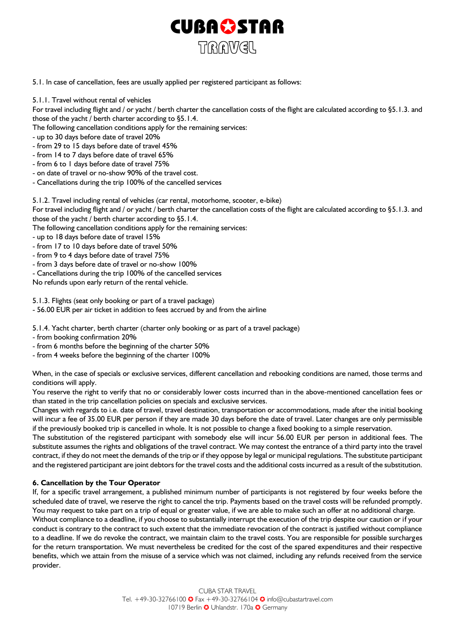

5.1. In case of cancellation, fees are usually applied per registered participant as follows:

5.1.1. Travel without rental of vehicles

For travel including flight and / or yacht / berth charter the cancellation costs of the flight are calculated according to §5.1.3. and those of the yacht / berth charter according to §5.1.4.

The following cancellation conditions apply for the remaining services:

- up to 30 days before date of travel 20%
- from 29 to 15 days before date of travel 45%
- from 14 to 7 days before date of travel 65%
- from 6 to 1 days before date of travel 75%
- on date of travel or no-show 90% of the travel cost.
- Cancellations during the trip 100% of the cancelled services

5.1.2. Travel including rental of vehicles (car rental, motorhome, scooter, e-bike)

For travel including flight and / or yacht / berth charter the cancellation costs of the flight are calculated according to §5.1.3. and those of the yacht / berth charter according to §5.1.4.

- The following cancellation conditions apply for the remaining services:
- up to 18 days before date of travel 15%
- from 17 to 10 days before date of travel 50%
- from 9 to 4 days before date of travel 75%
- from 3 days before date of travel or no-show 100%
- Cancellations during the trip 100% of the cancelled services

No refunds upon early return of the rental vehicle.

5.1.3. Flights (seat only booking or part of a travel package)

- 56.00 EUR per air ticket in addition to fees accrued by and from the airline

5.1.4. Yacht charter, berth charter (charter only booking or as part of a travel package)

- from booking confirmation 20%
- from 6 months before the beginning of the charter 50%
- from 4 weeks before the beginning of the charter 100%

When, in the case of specials or exclusive services, different cancellation and rebooking conditions are named, those terms and conditions will apply.

You reserve the right to verify that no or considerably lower costs incurred than in the above-mentioned cancellation fees or than stated in the trip cancellation policies on specials and exclusive services.

Changes with regards to i.e. date of travel, travel destination, transportation or accommodations, made after the initial booking will incur a fee of 35.00 EUR per person if they are made 30 days before the date of travel. Later changes are only permissible if the previously booked trip is cancelled in whole. It is not possible to change a fixed booking to a simple reservation.

The substitution of the registered participant with somebody else will incur 56.00 EUR per person in additional fees. The substitute assumes the rights and obligations of the travel contract. We may contest the entrance of a third party into the travel contract, if they do not meet the demands of the trip or if they oppose by legal or municipal regulations. The substitute participant and the registered participant are joint debtors for the travel costs and the additional costs incurred as a result of the substitution.

# **6. Cancellation by the Tour Operator**

If, for a specific travel arrangement, a published minimum number of participants is not registered by four weeks before the scheduled date of travel, we reserve the right to cancel the trip. Payments based on the travel costs will be refunded promptly. You may request to take part on a trip of equal or greater value, if we are able to make such an offer at no additional charge.

Without compliance to a deadline, if you choose to substantially interrupt the execution of the trip despite our caution or if your conduct is contrary to the contract to such extent that the immediate revocation of the contract is justified without compliance to a deadline. If we do revoke the contract, we maintain claim to the travel costs. You are responsible for possible surcharges for the return transportation. We must nevertheless be credited for the cost of the spared expenditures and their respective benefits, which we attain from the misuse of a service which was not claimed, including any refunds received from the service provider.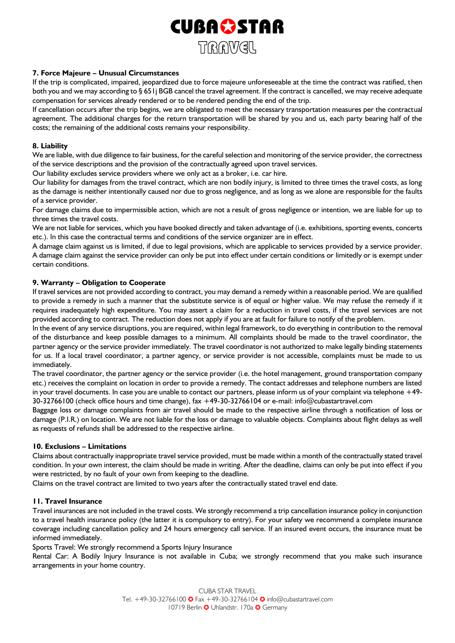

# **7. Force Majeure – Unusual Circumstances**

If the trip is complicated, impaired, jeopardized due to force majeure unforeseeable at the time the contract was ratified, then both you and we may according to § 651j BGB cancel the travel agreement. If the contract is cancelled, we may receive adequate compensation for services already rendered or to be rendered pending the end of the trip.

If cancellation occurs after the trip begins, we are obligated to meet the necessary transportation measures per the contractual agreement. The additional charges for the return transportation will be shared by you and us, each party bearing half of the costs; the remaining of the additional costs remains your responsibility.

# **8. Liability**

We are liable, with due diligence to fair business, for the careful selection and monitoring of the service provider, the correctness of the service descriptions and the provision of the contractually agreed upon travel services.

Our liability excludes service providers where we only act as a broker, i.e. car hire.

Our liability for damages from the travel contract, which are non bodily injury, is limited to three times the travel costs, as long as the damage is neither intentionally caused nor due to gross negligence, and as long as we alone are responsible for the faults of a service provider.

For damage claims due to impermissible action, which are not a result of gross negligence or intention, we are liable for up to three times the travel costs.

We are not liable for services, which you have booked directly and taken advantage of (i.e. exhibitions, sporting events, concerts etc.). In this case the contractual terms and conditions of the service organizer are in effect.

A damage claim against us is limited, if due to legal provisions, which are applicable to services provided by a service provider. A damage claim against the service provider can only be put into effect under certain conditions or limitedly or is exempt under certain conditions.

# **9. Warranty – Obligation to Cooperate**

If travel services are not provided according to contract, you may demand a remedy within a reasonable period. We are qualified to provide a remedy in such a manner that the substitute service is of equal or higher value. We may refuse the remedy if it requires inadequately high expenditure. You may assert a claim for a reduction in travel costs, if the travel services are not provided according to contract. The reduction does not apply if you are at fault for failure to notify of the problem.

In the event of any service disruptions, you are required, within legal framework, to do everything in contribution to the removal of the disturbance and keep possible damages to a minimum. All complaints should be made to the travel coordinator, the partner agency or the service provider immediately. The travel coordinator is not authorized to make legally binding statements for us. If a local travel coordinator, a partner agency, or service provider is not accessible, complaints must be made to us immediately.

The travel coordinator, the partner agency or the service provider (i.e. the hotel management, ground transportation company etc.) receives the complaint on location in order to provide a remedy. The contact addresses and telephone numbers are listed in your travel documents. In case you are unable to contact our partners, please inform us of your complaint via telephone  $+49$ -30-32766100 (check office hours and time change), fax +49-30-32766104 or e-mail: info@cubastartravel.com

Baggage loss or damage complaints from air travel should be made to the respective airline through a notification of loss or damage (P.I.R.) on location. We are not liable for the loss or damage to valuable objects. Complaints about flight delays as well as requests of refunds shall be addressed to the respective airline.

# **10. Exclusions – Limitations**

Claims about contractually inappropriate travel service provided, must be made within a month of the contractually stated travel condition. In your own interest, the claim should be made in writing. After the deadline, claims can only be put into effect if you were restricted, by no fault of your own from keeping to the deadline.

Claims on the travel contract are limited to two years after the contractually stated travel end date.

# **11. Travel Insurance**

Travel insurances are not included in the travel costs. We strongly recommend a trip cancellation insurance policy in conjunction to a travel health insurance policy (the latter it is compulsory to entry). For your safety we recommend a complete insurance coverage including cancellation policy and 24 hours emergency call service. If an insured event occurs, the insurance must be informed immediately.

Sports Travel: We strongly recommend a Sports Injury Insurance

Rental Car: A Bodily Injury Insurance is not available in Cuba; we strongly recommend that you make such insurance arrangements in your home country.